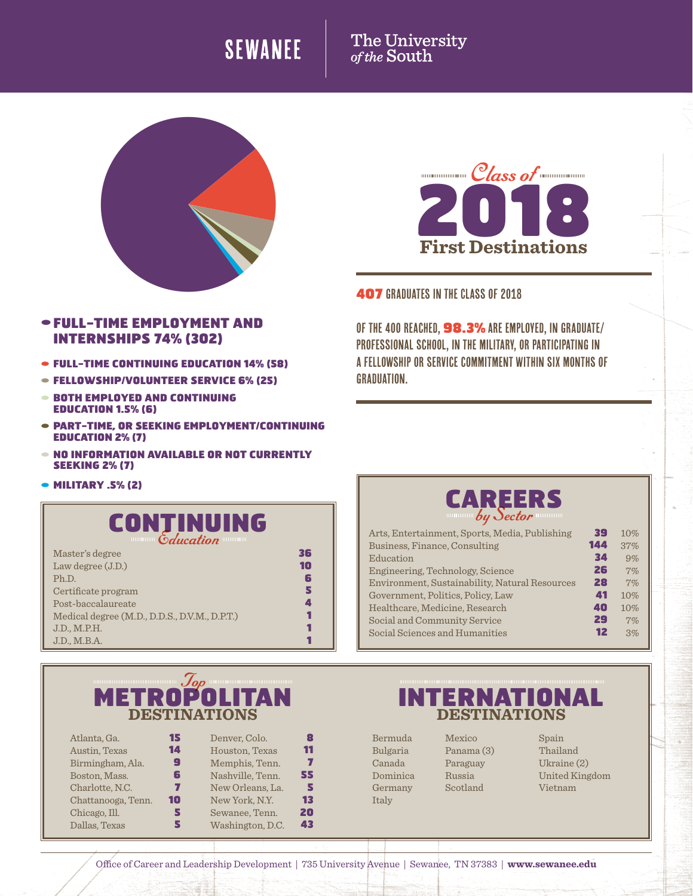## **SEWANEE**

# The University<br>of the South





### 407 graduates in the Class of 2018

Of the 400 reached, 98.3% are employed, in graduate/ professional school, In the military, or participating in a fellowship or service commitment within six months of graduation.

### •FULL-TIME EMPLOYMENT AND INTERNSHIPS 74% (302)

- FULL-TIME CONTINUING EDUCATION 14% (58)
- FELLOWSHIP/VOLUNTEER SERVICE 6% (25)
- BOTH EMPLOYED AND CONTINUING EDUCATION 1.5% (6)
- PART-TIME, OR SEEKING EMPLOYMENT/CONTINUING EDUCATION 2% (7)
- NO INFORMATION AVAILABLE OR NOT CURRENTLY SEEKING 2% (7)
- **MILITARY .5% (2)**



| Master's degree                               | 36 |
|-----------------------------------------------|----|
| Law degree $(J.D.)$                           | 10 |
| Ph.D.                                         | 6  |
| Certificate program                           |    |
| Post-baccalaureate                            |    |
| Medical degree (M.D., D.D.S., D.V.M., D.P.T.) |    |
| J.D., M.P.H.                                  |    |
| J.D., M.B.A.                                  |    |

### **DESTINATIONS DESTINATIONS** Top

| Atlanta, Ga.       | 15 | Denver, Colo.    | 8  |
|--------------------|----|------------------|----|
| Austin, Texas      | 14 | Houston, Texas   | 11 |
| Birmingham, Ala.   | g  | Memphis, Tenn.   | 77 |
| Boston, Mass.      | 6  | Nashville, Tenn. | 55 |
| Charlotte, N.C.    | 7  | New Orleans, La. | 5  |
| Chattanooga, Tenn. | 10 | New York, N.Y.   | 13 |
| Chicago, Ill.      | 5  | Sewanee, Tenn.   | 20 |
| Dallas, Texas      |    | Washington, D.C. | 43 |
|                    |    |                  |    |



| Arts, Entertainment, Sports, Media, Publishing | 39  | 10% |
|------------------------------------------------|-----|-----|
| Business, Finance, Consulting                  | 144 | 37% |
| Education                                      | 34  | 9%  |
| Engineering, Technology, Science               | 26  | 7%  |
| Environment, Sustainability, Natural Resources | 28  | 7%  |
| Government, Politics, Policy, Law              | 41  | 10% |
| Healthcare. Medicine. Research                 | 40  | 10% |
| Social and Community Service                   | 29  | 7%  |
| Social Sciences and Humanities                 | 12  | 3%  |
|                                                |     |     |

# METROPOLITAN INTERNATIONAL

Bermuda Bulgaria Canada Dominica Germany Italy

Mexico Panama (3) Paraguay Russia Scotland

Spain Thailand Ukraine (2) United Kingdom Vietnam

Office of Career and Leadership Development | 735 University Avenue | Sewanee, TN 37383 | **www.sewanee.edu**